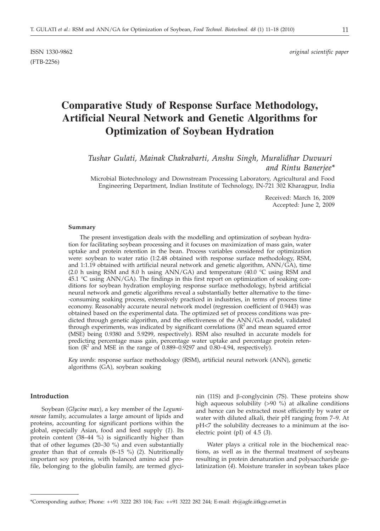(FTB-2256)

# **Comparative Study of Response Surface Methodology, Artificial Neural Network and Genetic Algorithms for Optimization of Soybean Hydration**

*Tushar Gulati, Mainak Chakrabarti, Anshu Singh, Muralidhar Duvuuri and Rintu Banerjee\**

Microbial Biotechnology and Downstream Processing Laboratory, Agricultural and Food Engineering Department, Indian Institute of Technology, IN-721 302 Kharagpur, India

> Received: March 16, 2009 Accepted: June 2, 2009

#### **Summary**

The present investigation deals with the modelling and optimization of soybean hydration for facilitating soybean processing and it focuses on maximization of mass gain, water uptake and protein retention in the bean. Process variables considered for optimization were: soybean to water ratio (1:2.48 obtained with response surface methodology, RSM, and 1:1.19 obtained with artificial neural network and genetic algorithm, ANN/GA), time (2.0 h using RSM and 8.0 h using ANN/GA) and temperature (40.0  $\degree$ C using RSM and 45.1 °C using ANN/GA). The findings in this first report on optimization of soaking conditions for soybean hydration employing response surface methodology, hybrid artificial neural network and genetic algorithms reveal a substantially better alternative to the time- -consuming soaking process, extensively practiced in industries, in terms of process time economy. Reasonably accurate neural network model (regression coefficient of 0.9443) was obtained based on the experimental data. The optimized set of process conditions was predicted through genetic algorithm, and the effectiveness of the ANN/GA model, validated through experiments, was indicated by significant correlations  $(R^2$  and mean squared error (MSE) being 0.9380 and 5.9299, respectively). RSM also resulted in accurate models for predicting percentage mass gain, percentage water uptake and percentage protein retention  $(R^2$  and MSE in the range of 0.889–0.9297 and 0.80–4.94, respectively).

*Key words*: response surface methodology (RSM), artificial neural network (ANN), genetic algorithms (GA), soybean soaking

# **Introduction**

Soybean (*Glycine max*), a key member of the *Leguminoseae* family, accumulates a large amount of lipids and proteins, accounting for significant portions within the global, especially Asian, food and feed supply (*1*). Its protein content (38–44 %) is significantly higher than that of other legumes (20–30 %) and even substantially greater than that of cereals (8–15 %) (*2*). Nutritionally important soy proteins, with balanced amino acid profile, belonging to the globulin family, are termed glycinin (11S) and *b*-conglycinin (7S). These proteins show high aqueous solubility (>90 %) at alkaline conditions and hence can be extracted most efficiently by water or water with diluted alkali, their pH ranging from 7–9. At pH<7 the solubility decreases to a minimum at the isoelectric point (pI) of 4.5 (*3*).

Water plays a critical role in the biochemical reactions, as well as in the thermal treatment of soybeans resulting in protein denaturation and polysaccharide gelatinization (*4*). Moisture transfer in soybean takes place

<sup>\*</sup>Corresponding author; Phone: ++91 3222 283 104; Fax: ++91 3222 282 244; E-mail: rb*@*agfe.iitkgp.ernet.in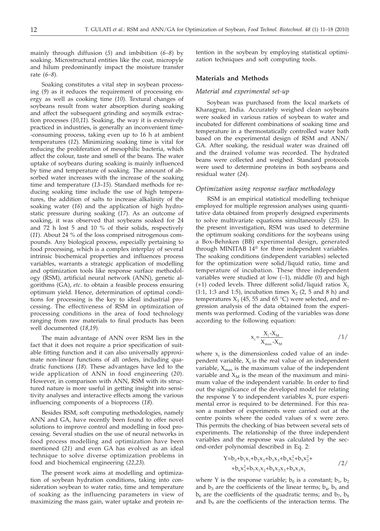mainly through diffusion (*5*) and imbibition (*6–8*) by soaking. Microstructural entities like the coat, micropyle and hilum predominantly impact the moisture transfer rate (*6–8*).

Soaking constitutes a vital step in soybean processing (*9*) as it reduces the requirement of processing energy as well as cooking time (*10*). Textural changes of soybeans result from water absorption during soaking and affect the subsequent grinding and soymilk extraction processes (*10*,*11*). Soaking, the way it is extensively practiced in industries, is generally an inconvenient time- -consuming process, taking even up to 16 h at ambient temperatures (*12*). Minimizing soaking time is vital for reducing the proliferation of mesophilic bacteria, which affect the colour, taste and smell of the beans. The water uptake of soybeans during soaking is mainly influenced by time and temperature of soaking. The amount of absorbed water increases with the increase of the soaking time and temperature (*13*–*15*). Standard methods for reducing soaking time include the use of high temperatures, the addition of salts to increase alkalinity of the soaking water (*16*) and the application of high hydrostatic pressure during soaking (*17*). As an outcome of soaking, it was observed that soybeans soaked for 24 and 72 h lost 5 and 10 % of their solids, respectively (*11*). About 24 % of the loss comprised nitrogenous compounds. Any biological process, especially pertaining to food processing, which is a complex interplay of several intrinsic biochemical properties and influences process variables, warrants a strategic application of modelling and optimization tools like response surface methodology (RSM), artificial neural network (ANN), genetic algorithms (GA), *etc*. to obtain a feasible process ensuring optimum yield. Hence, determination of optimal conditions for processing is the key to ideal industrial processing. The effectiveness of RSM in optimization of processing conditions in the area of food technology ranging from raw materials to final products has been well documented (*18*,*19*).

The main advantage of ANN over RSM lies in the fact that it does not require a prior specification of suitable fitting function and it can also universally approximate non-linear functions of all orders, including quadratic functions (*18*). These advantages have led to the wide application of ANN in food engineering (*20*). However, in comparison with ANN, RSM with its structured nature is more useful in getting insight into sensitivity analyses and interactive effects among the various influencing components of a bioprocess (*18*).

Besides RSM, soft computing methodologies, namely ANN and GA, have recently been found to offer novel solutions to improve control and modelling in food processing. Several studies on the use of neural networks in food process modelling and optimization have been mentioned (*21*) and even GA has evolved as an ideal technique to solve diverse optimization problems in food and biochemical engineering (*22*,*23*).

The present work aims at modelling and optimization of soybean hydration conditions, taking into consideration soybean to water ratio, time and temperature of soaking as the influencing parameters in view of maximizing the mass gain, water uptake and protein re-

tention in the soybean by employing statistical optimization techniques and soft computing tools.

# **Materials and Methods**

## *Material and experimental set-up*

Soybean was purchased from the local markets of Kharagpur, India. Accurately weighed clean soybeans were soaked in various ratios of soybean to water and incubated for different combinations of soaking time and temperature in a thermostatically controlled water bath based on the experimental design of RSM and ANN/ GA. After soaking, the residual water was drained off and the drained volume was recorded. The hydrated beans were collected and weighed. Standard protocols were used to determine proteins in both soybeans and residual water (*24*).

# *Optimization using response surface methodology*

RSM is an empirical statistical modelling technique employed for multiple regression analyses using quantitative data obtained from properly designed experiments to solve multivariate equations simultaneously (*25*). In the present investigation, RSM was used to determine the optimum soaking conditions for the soybeans using a Box-Behnken (BB) experimental design, generated through MINITAB 14® for three independent variables. The soaking conditions (independent variables) selected for the optimization were solid/liquid ratio, time and temperature of incubation. These three independent variables were studied at low  $(-1)$ , middle  $(0)$  and high (+1) coded levels. Three different solid/liquid ratios  $X_1$ (1:1, 1:3 and 1:5), incubation times  $X_2$  (2, 5 and 8 h) and temperatures  $X_3$  (45, 55 and 65 °C) were selected, and regression analysis of the data obtained from the experiments was performed. Coding of the variables was done according to the following equation:

$$
x_i = \frac{X_i - X_m}{X_{\text{max}} - X_m}
$$
 / 1/

where  $x_i$  is the dimensionless coded value of an independent variable,  $X_i$  is the real value of an independent variable,  $X_{\text{max}}$  is the maximum value of the independent variable and  $X_M$  is the mean of the maximum and minimum value of the independent variable. In order to find out the significance of the developed model for relating the response Y to independent variables X, pure experimental error is required to be determined. For this reason a number of experiments were carried out at the centre points where the coded values of x were zero. This permits the checking of bias between several sets of experiments. The relationship of the three independent variables and the response was calculated by the second-order polynomial described in Eq. 2:

$$
Y=b_0+b_1x_1+b_2x_2+b_3x_3+b_4x_1^2+b_5x_2^2+\n+b_6x_3^2+b_7x_1x_2+b_8x_2x_3+b_9x_3x_1
$$
\n(2)

where Y is the response variable;  $b_0$  is a constant;  $b_1$ ,  $b_2$ and  $b_3$  are the coefficients of the linear terms;  $b_4$ ,  $b_5$  and  $b<sub>6</sub>$  are the coefficients of the quadratic terms; and  $b<sub>7</sub>$ ,  $b<sub>8</sub>$ and  $b<sub>9</sub>$  are the coefficients of the interaction terms. The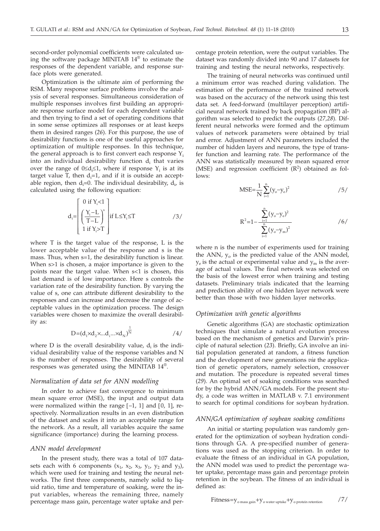second-order polynomial coefficients were calculated using the software package MINITAB 14® to estimate the responses of the dependent variable, and response surface plots were generated.

Optimization is the ultimate aim of performing the RSM. Many response surface problems involve the analysis of several responses. Simultaneous consideration of multiple responses involves first building an appropriate response surface model for each dependent variable and then trying to find a set of operating conditions that in some sense optimizes all responses or at least keeps them in desired ranges (*26*). For this purpose, the use of desirability functions is one of the useful approaches for optimization of multiple responses. In this technique, the general approach is to first convert each response  $Y_i$ into an individual desirability function  $d_i$  that varies over the range of  $0 \le d_i \le 1$ , where if response  $Y_i$  is at its target value T then  $d-1$  and if it is outside an accenttarget value T, then  $d_i=1$ , and if it is outside an acceptable region, then  $d_i=0$ . The individual desirability,  $d_i$ , is calculated using the following equation:

$$
d_i = \begin{bmatrix} 0 \text{ if } Y_i < 1 \\ \left(\frac{Y_i - L}{T - L}\right)^s \\ 1 \text{ if } Y_i > T \end{bmatrix} \text{ if } L \leq Y_i \leq T \tag{3/}
$$

where T is the target value of the response, L is the lower acceptable value of the response and s is the mass. Thus, when s=1, the desirability function is linear. When s>1 is chosen, a major importance is given to the points near the target value. When s<1 is chosen, this last demand is of low importance. Here s controls the variation rate of the desirability function. By varying the value of s, one can attribute different desirability to the responses and can increase and decrease the range of acceptable values in the optimization process. The design variables were chosen to maximize the overall desirability as:

$$
D = (d_1 \times d_2 \times ... d_i ... \times d_N)^{\frac{1}{N}}
$$

where  $D$  is the overall desirability value,  $d_i$  is the individual desirability value of the response variables and N is the number of responses. The desirability of several responses was generated using the MINITAB 14®.

## *Normalization of data set for ANN modelling*

In order to achieve fast convergence to minimum mean square error (MSE), the input and output data were normalized within the range  $[-1, 1]$  and  $[0, 1]$ , respectively. Normalization results in an even distribution of the dataset and scales it into an acceptable range for the network. As a result, all variables acquire the same significance (importance) during the learning process.

# *ANN model development*

In the present study, there was a total of 107 datasets each with 6 components  $(x_1, x_2, x_3, y_1, y_2 \text{ and } y_3)$ , which were used for training and testing the neural networks. The first three components, namely solid to liquid ratio, time and temperature of soaking, were the input variables, whereas the remaining three, namely percentage mass gain, percentage water uptake and percentage protein retention, were the output variables. The dataset was randomly divided into 90 and 17 datasets for training and testing the neural networks, respectively.

The training of neural networks was continued until a minimum error was reached during validation. The estimation of the performance of the trained network was based on the accuracy of the network using this test data set. A feed-forward (multilayer perception) artificial neural network trained by back propagation (BP) algorithm was selected to predict the outputs (*27,28*). Different neural networks were formed and the optimum values of network parameters were obtained by trial and error. Adjustment of ANN parameters included the number of hidden layers and neurons, the type of transfer function and learning rate. The performance of the ANN was statistically measured by mean squared error (MSE) and regression coefficient  $(R^2)$  obtained as follows:

$$
MSE = \frac{1}{N} \sum_{i=1}^{n} (y_o - y_e)^2
$$
 /5/

$$
R^{2}=1-\frac{\sum_{i=1}^{n}(y_{o}-y_{e})^{2}}{\sum_{i=1}^{n}(y_{o}-y_{m})^{2}}
$$
 /6/

where n is the number of experiments used for training the ANN,  $y_0$  is the predicted value of the ANN model,  $y_e$  is the actual or experimental value and  $y_m$  is the average of actual values. The final network was selected on the basis of the lowest error when training and testing datasets. Preliminary trials indicated that the learning and prediction ability of one hidden layer network were better than those with two hidden layer networks.

## *Optimization with genetic algorithms*

Genetic algorithms (GA) are stochastic optimization techniques that simulate a natural evolution process based on the mechanism of genetics and Darwin's principle of natural selection (*23*). Briefly, GA involve an initial population generated at random, a fitness function and the development of new generations *via* the application of genetic operators, namely selection, crossover and mutation. The procedure is repeated several times (*29*). An optimal set of soaking conditions was searched for by the hybrid ANN/GA models. For the present study, a code was written in MATLAB v. 7.1 environment to search for optimal conditions for soybean hydration.

#### *ANN/GA optimization of soybean soaking conditions*

An initial or starting population was randomly generated for the optimization of soybean hydration conditions through GA. A pre-specified number of generations was used as the stopping criterion. In order to evaluate the fitness of an individual in GA population, the ANN model was used to predict the percentage water uptake, percentage mass gain and percentage protein retention in the soybean. The fitness of an individual is defined as: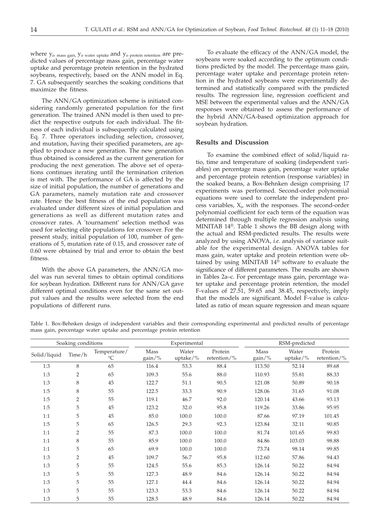where  $y_0$  mass gain,  $y_0$  water uptake and  $y_0$  protein retention are predicted values of percentage mass gain, percentage water uptake and percentage protein retention in the hydrated soybeans, respectively, based on the ANN model in Eq. 7. GA subsequently searches the soaking conditions that maximize the fitness.

The ANN/GA optimization scheme is initiated considering randomly generated population for the first generation. The trained ANN model is then used to predict the respective outputs for each individual. The fitness of each individual is subsequently calculated using Eq. 7. Three operators including selection, crossover, and mutation, having their specified parameters, are applied to produce a new generation. The new generation thus obtained is considered as the current generation for producing the next generation. The above set of operations continues iterating until the termination criterion is met with. The performance of GA is affected by the size of initial population, the number of generations and GA parameters, namely mutation rate and crossover rate. Hence the best fitness of the end population was evaluated under different sizes of initial population and generations as well as different mutation rates and crossover rates. A 'tournament' selection method was used for selecting elite populations for crossover. For the present study, initial population of 100, number of generations of 5, mutation rate of 0.15, and crossover rate of 0.60 were obtained by trial and error to obtain the best fitness.

With the above GA parameters, the ANN/GA model was run several times to obtain optimal conditions for soybean hydration. Different runs for ANN/GA gave different optimal conditions even for the same set output values and the results were selected from the end populations of different runs.

To evaluate the efficacy of the ANN/GA model, the soybeans were soaked according to the optimum conditions predicted by the model. The percentage mass gain, percentage water uptake and percentage protein retention in the hydrated soybeans were experimentally determined and statistically compared with the predicted results. The regression line, regression coefficient and MSE between the experimental values and the ANN/GA responses were obtained to assess the performance of the hybrid ANN/GA-based optimization approach for soybean hydration.

# **Results and Discussion**

To examine the combined effect of solid/liquid ratio, time and temperature of soaking (independent variables) on percentage mass gain, percentage water uptake and percentage protein retention (response variables) in the soaked beans, a Box-Behnken design comprising 17 experiments was performed. Second-order polynomial equations were used to correlate the independent pro- $\cos$  variables,  $X_i$ , with the responses. The second-order polynomial coefficient for each term of the equation was determined through multiple regression analysis using MINITAB 14®. Table 1 shows the BB design along with the actual and RSM-predicted results. The results were analyzed by using ANOVA, *i.e.* analysis of variance suitable for the experimental design. ANOVA tables for mass gain, water uptake and protein retention were obtained by using MINITAB 14® software to evaluate the significance of different parameters. The results are shown in Tables 2a–c. For percentage mass gain, percentage water uptake and percentage protein retention, the model F-values of 27.51, 59.65 and 38.45, respectively, imply that the models are significant. Model F-value is calculated as ratio of mean square regression and mean square

Table 1. Box-Behnken design of independent variables and their corresponding experimental and predicted results of percentage mass gain, percentage water uptake and percentage protein retention

| Soaking conditions |                |                                 | Experimental      |                   |                        | RSM-predicted  |                       |                        |
|--------------------|----------------|---------------------------------|-------------------|-------------------|------------------------|----------------|-----------------------|------------------------|
| Solid/liquid       | Time/h         | Temperature/<br>$\rm ^{\circ}C$ | Mass<br>$gain/\%$ | Water<br>uptake/% | Protein<br>retention/% | Mass<br>gain/% | Water<br>uptake/ $\%$ | Protein<br>retention/% |
| 1:3                | 8              | 65                              | 116.4             | 53.3              | 88.4                   | 113.50         | 52.14                 | 89.68                  |
| 1:3                | 2              | 65                              | 109.3             | 55.6              | 88.0                   | 110.93         | 55.81                 | 88.33                  |
| 1:3                | 8              | 45                              | 122.7             | 51.1              | 90.5                   | 121.08         | 50.89                 | 90.18                  |
| 1:5                | 8              | 55                              | 122.5             | 33.3              | 90.9                   | 128.06         | 31.65                 | 91.08                  |
| 1:5                | $\overline{2}$ | 55                              | 119.1             | 46.7              | 92.0                   | 120.14         | 43.66                 | 93.13                  |
| 1:5                | 5              | 45                              | 123.2             | 32.0              | 95.8                   | 119.26         | 33.86                 | 95.95                  |
| 1:1                | 5              | 45                              | 85.0              | 100.0             | 100.0                  | 87.66          | 97.19                 | 101.45                 |
| 1:5                | 5              | 65                              | 126.5             | 29.3              | 92.3                   | 123.84         | 32.11                 | 90.85                  |
| 1:1                | 2              | 55                              | 87.3              | 100.0             | 100.0                  | 81.74          | 101.65                | 99.83                  |
| 1:1                | 8              | 55                              | 85.9              | 100.0             | 100.0                  | 84.86          | 103.03                | 98.88                  |
| 1:1                | 5              | 65                              | 69.9              | 100.0             | 100.0                  | 73.74          | 98.14                 | 99.85                  |
| 1:3                | $\overline{2}$ | 45                              | 109.7             | 56.7              | 95.8                   | 112.60         | 57.86                 | 94.43                  |
| 1:3                | 5              | 55                              | 124.5             | 55.6              | 85.3                   | 126.14         | 50.22                 | 84.94                  |
| 1:3                | 5              | 55                              | 127.3             | 48.9              | 84.6                   | 126.14         | 50.22                 | 84.94                  |
| 1:3                | 5              | 55                              | 127.1             | 44.4              | 84.6                   | 126.14         | 50.22                 | 84.94                  |
| 1:3                | 5              | 55                              | 123.3             | 53.3              | 84.6                   | 126.14         | 50.22                 | 84.94                  |
| 1:3                | 5              | 55                              | 128.5             | 48.9              | 84.6                   | 126.14         | 50.22                 | 84.94                  |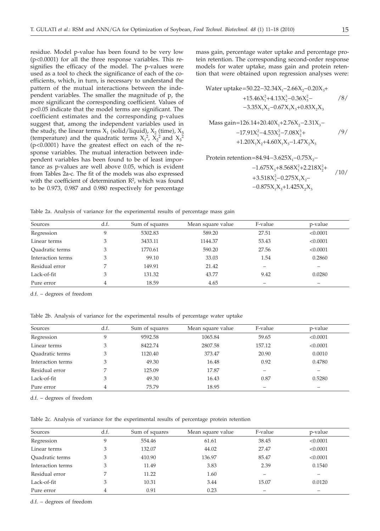residue. Model p-value has been found to be very low (p<0.0001) for all the three response variables. This resignifies the efficacy of the model. The p-values were used as a tool to check the significance of each of the coefficients, which, in turn, is necessary to understand the pattern of the mutual interactions between the independent variables. The smaller the magnitude of p, the more significant the corresponding coefficient. Values of p*<*0.05 indicate that the model terms are significant. The coefficient estimates and the corresponding p-values suggest that, among the independent variables used in the study, the linear terms  $X_1$  (solid/liquid),  $X_2$  (time),  $X_3$ (temperature) and the quadratic terms  $X_1^2$ ,  $X_2^2$  and  $X_3^2$ (p<0.0001) have the greatest effect on each of the response variables. The mutual interaction between independent variables has been found to be of least importance as p-values are well above 0.05, which is evident from Tables 2a-c. The fit of the models was also expressed with the coefficient of determination  $\mathbb{R}^2$ , which was found to be 0.973, 0.987 and 0.980 respectively for percentage

mass gain, percentage water uptake and percentage protein retention. The corresponding second-order response models for water uptake, mass gain and protein retention that were obtained upon regression analyses were:

/8/ /9/ 123 232 123 12 13 23 Water uptake 50.22 32.34X 2.66X 0.20X +15.46X 4.13X 0.36X 3.35X X 0.67X X 0.83X X =− − − + +−− −−+ 123 223 122 12 13 23 Mass gain 126.14 20.40X 2.76X 2.31X 17.91X 4.53X 7.08X 1.20X X 4.60X X 1.47X X =+ + −− − −−+ ++− Protein retention 84.94 3.625X 0.75X =− − −

$$
-1.675X_3+8.568X_1^2+2.218X_2^2+\n+3.518X_3^2-0.275X_1X_2-\n-0.875X_1X_3+1.425X_2X_3
$$

Table 2a. Analysis of variance for the experimental results of percentage mass gain

| Sources           | d.f. | Sum of squares | Mean square value | F-value | p-value  |
|-------------------|------|----------------|-------------------|---------|----------|
| Regression        | Q    | 5302.83        | 589.20            | 27.51   | < 0.0001 |
| Linear terms      |      | 3433.11        | 1144.37           | 53.43   | < 0.0001 |
| Quadratic terms   |      | 1770.61        | 590.20            | 27.56   | < 0.0001 |
| Interaction terms |      | 99.10          | 33.03             | 1.54    | 0.2860   |
| Residual error    |      | 149.91         | 21.42             |         |          |
| Lack-of-fit       |      | 131.32         | 43.77             | 9.42    | 0.0280   |
| Pure error        | 4    | 18.59          | 4.65              |         |          |

d.f. – degrees of freedom

Table 2b. Analysis of variance for the experimental results of percentage water uptake

| Sources           | d.f. | Sum of squares | Mean square value | F-value | p-value  |
|-------------------|------|----------------|-------------------|---------|----------|
| Regression        | q    | 9592.58        | 1065.84           | 59.65   | < 0.0001 |
| Linear terms      | 3    | 8422.74        | 2807.58           | 157.12  | < 0.0001 |
| Quadratic terms   | 3    | 1120.40        | 373.47            | 20.90   | 0.0010   |
| Interaction terms | 3    | 49.30          | 16.48             | 0.92    | 0.4780   |
| Residual error    |      | 125.09         | 17.87             |         |          |
| Lack-of-fit       |      | 49.30          | 16.43             | 0.87    | 0.5280   |
| Pure error        | 4    | 75.79          | 18.95             |         |          |

d.f. – degrees of freedom

Table 2c. Analysis of variance for the experimental results of percentage protein retention

| Sources           | d.f. | Sum of squares | Mean square value | F-value | p-value  |
|-------------------|------|----------------|-------------------|---------|----------|
| Regression        |      | 554.46         | 61.61             | 38.45   | < 0.0001 |
| Linear terms      |      | 132.07         | 44.02             | 27.47   | < 0.0001 |
| Quadratic terms   |      | 410.90         | 136.97            | 85.47   | < 0.0001 |
| Interaction terms | 3    | 11.49          | 3.83              | 2.39    | 0.1540   |
| Residual error    |      | 11.22          | 1.60              |         |          |
| Lack-of-fit       |      | 10.31          | 3.44              | 15.07   | 0.0120   |
| Pure error        |      | 0.91           | 0.23              |         |          |

d.f. – degrees of freedom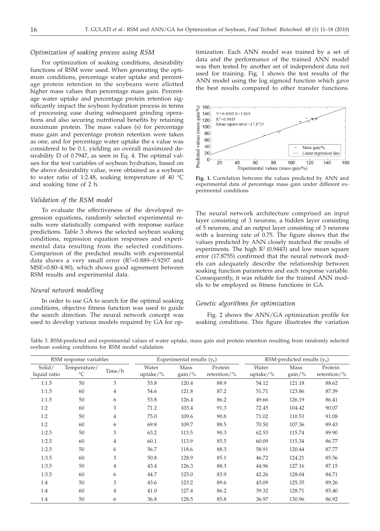# *Optimization of soaking process using RSM*

For optimization of soaking conditions, desirability functions of RSM were used. When generating the optimum conditions, percentage water uptake and percentage protein retention in the soybeans were allotted higher mass values than percentage mass gain. Percentage water uptake and percentage protein retention significantly impact the soybean hydration process in terms of processing ease during subsequent grinding operations and also securing nutritional benefits by retaining maximum protein. The mass values (s) for percentage mass gain and percentage protein retention were taken as one, and for percentage water uptake the s value was considered to be 0.1, yielding an overall maximized desirability D of 0.7947, as seen in Eq. 4. The optimal values for the test variables of soybean hydration, based on the above desirability value, were obtained as a soybean to water ratio of 1:2.48, soaking temperature of 40 °C and soaking time of 2 h.

#### *Validation of the RSM model*

To evaluate the effectiveness of the developed regression equations, randomly selected experimental results were statistically compared with response surface predictions. Table 3 shows the selected soybean soaking conditions, regression equation responses and experimental data resulting from the selected conditions. Comparison of the predicted results with experimental data shows a very small error  $(R^2=0.889-0.9297$  and MSE=0.80–4.90), which shows good agreement between RSM results and experimental data.

## *Neural network modelling*

In order to use GA to search for the optimal soaking conditions, objective fitness function was used to guide the search direction. The neural network concept was used to develop various models required by GA for optimization. Each ANN model was trained by a set of data and the performance of the trained ANN model was then tested by another set of independent data not used for training. Fig. 1 shows the test results of the ANN model using the log sigmoid function which gave the best results compared to other transfer functions.



**Fig. 1.** Correlation between the values predicted by ANN and experimental data of percentage mass gain under different experimental conditions

The neural network architecture comprised an input layer consisting of 3 neurons, a hidden layer consisting of 5 neurons, and an output layer consisting of 3 neurons with a learning rate of 0.75. The figure shows that the values predicted by ANN closely matched the results of experiments. The high  $R^2$  (0.9443) and low mean square error (17.8755) confirmed that the neural network models can adequately describe the relationship between soaking function parameters and each response variable. Consequently, it was reliable for the trained ANN models to be employed as fitness functions in GA.

# *Genetic algorithms for optimization*

Fig. 2 shows the ANN/GA optimization profile for soaking conditions. This figure illustrates the variation

Table 3. RSM-predicted and experimental values of water uptake, mass gain and protein retention resulting from randomly selected soybean soaking conditions for RSM model validation

| RSM response variables |                                 |                | Experimental results $(y_e)$ |                   |                        | RSM-predicted results $(y_0)$ |                   |                        |
|------------------------|---------------------------------|----------------|------------------------------|-------------------|------------------------|-------------------------------|-------------------|------------------------|
| Solid/<br>liquid ratio | Temperature/<br>$\rm ^{\circ}C$ | Time/h         | Water<br>uptake/ $\%$        | Mass<br>$gain/\%$ | Protein<br>retention/% | Water<br>uptake/ $\%$         | Mass<br>$gain/\%$ | Protein<br>retention/% |
| 1:1.5                  | 50                              | 3              | 53.8                         | 120.4             | 88.9                   | 54.12                         | 121.18            | 88.62                  |
| 1:1.5                  | 60                              | 4              | 54.6                         | 121.8             | 87.2                   | 51.71                         | 123.86            | 87.39                  |
| 1:1.5                  | 50                              | 6              | 53.8                         | 126.4             | 86.2                   | 49.66                         | 126.19            | 86.41                  |
| 1:2                    | 60                              | 3              | 71.2                         | 103.4             | 91.3                   | 72.45                         | 104.42            | 90.07                  |
| 1:2                    | 50                              | $\overline{4}$ | 75.0                         | 109.6             | 90.8                   | 71.02                         | 110.53            | 91.08                  |
| 1:2                    | 60                              | 6              | 69.8                         | 109.7             | 88.5                   | 70.50                         | 107.36            | 89.43                  |
| 1:2.5                  | 50                              | 3              | 63.2                         | 113.5             | 90.3                   | 62.53                         | 115.74            | 89.90                  |
| 1:2.5                  | 60                              | 4              | 60.1                         | 113.9             | 85.5                   | 60.09                         | 115.34            | 86.77                  |
| 1:2.5                  | 50                              | 6              | 56.7                         | 118.6             | 88.3                   | 58.91                         | 120.44            | 87.77                  |
| 1:3.5                  | 60                              | 3              | 50.8                         | 128.9             | 85.1                   | 46.72                         | 124.21            | 85.56                  |
| 1:3.5                  | 50                              | 4              | 43.4                         | 126.3             | 88.3                   | 44.96                         | 127.16            | 87.15                  |
| 1:3.5                  | 60                              | 6              | 44.7                         | 125.0             | 83.9                   | 42.26                         | 128.04            | 84.71                  |
| 1:4                    | 50                              | 3              | 43.6                         | 123.2             | 89.6                   | 43.09                         | 125.35            | 89.26                  |
| 1:4                    | 60                              | $\overline{4}$ | 41.0                         | 127.4             | 86.2                   | 39.32                         | 128.71            | 85.40                  |
| 1:4                    | 50                              | 6              | 36.8                         | 128.5             | 85.8                   | 36.97                         | 130.96            | 86.92                  |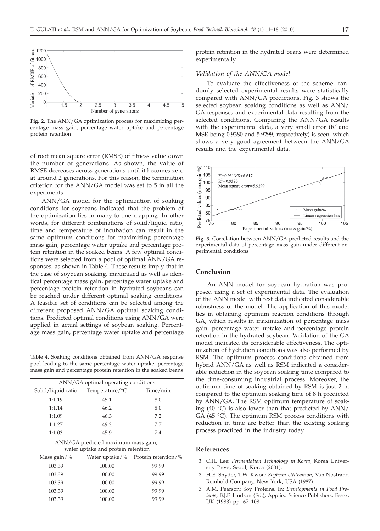

**Fig. 2.** The ANN/GA optimization process for maximizing percentage mass gain, percentage water uptake and percentage protein retention

of root mean square error (RMSE) of fitness value down the number of generations. As shown, the value of RMSE decreases across generations until it becomes zero at around 2 generations. For this reason, the termination criterion for the ANN/GA model was set to 5 in all the experiments.

ANN/GA model for the optimization of soaking conditions for soybeans indicated that the problem of the optimization lies in many-to-one mapping. In other words, for different combinations of solid/liquid ratio, time and temperature of incubation can result in the same optimum conditions for maximizing percentage mass gain, percentage water uptake and percentage protein retention in the soaked beans. A few optimal conditions were selected from a pool of optimal ANN/GA responses, as shown in Table 4. These results imply that in the case of soybean soaking, maximized as well as identical percentage mass gain, percentage water uptake and percentage protein retention in hydrated soybeans can be reached under different optimal soaking conditions. A feasible set of conditions can be selected among the different proposed ANN/GA optimal soaking conditions. Predicted optimal conditions using ANN/GA were applied in actual settings of soybean soaking. Percentage mass gain, percentage water uptake and percentage

Table 4. Soaking conditions obtained from ANN/GA response pool leading to the same percentage water uptake, percentage mass gain and percentage protein retention in the soaked beans

| ANN/GA optimal operating conditions                                       |                     |  |  |  |  |  |  |
|---------------------------------------------------------------------------|---------------------|--|--|--|--|--|--|
| Temperature/ ${}^{\circ}C$                                                | Time/min            |  |  |  |  |  |  |
| 45.1                                                                      | 8.0                 |  |  |  |  |  |  |
| 46.2                                                                      | 8.0                 |  |  |  |  |  |  |
| 46.3                                                                      | 7.2                 |  |  |  |  |  |  |
| 49.2                                                                      | 7.7                 |  |  |  |  |  |  |
| 45.9                                                                      | 7.4                 |  |  |  |  |  |  |
| ANN/GA predicted maximum mass gain,<br>water uptake and protein retention |                     |  |  |  |  |  |  |
|                                                                           | Protein retention/% |  |  |  |  |  |  |
| 100.00                                                                    | 99.99               |  |  |  |  |  |  |
| 100.00                                                                    | 99.99               |  |  |  |  |  |  |
| 100.00                                                                    | 99.99               |  |  |  |  |  |  |
| 100.00                                                                    | 99.99               |  |  |  |  |  |  |
| 100.00                                                                    | 99.99               |  |  |  |  |  |  |
|                                                                           | Water uptake/%      |  |  |  |  |  |  |

protein retention in the hydrated beans were determined experimentally.

## *Validation of the ANN/GA model*

To evaluate the effectiveness of the scheme, randomly selected experimental results were statistically compared with ANN/GA predictions. Fig. 3 shows the selected soybean soaking conditions as well as ANN/ GA responses and experimental data resulting from the selected conditions. Comparing the ANN/GA results with the experimental data, a very small error  $(R^2$  and MSE being 0.9380 and 5.9299, respectively) is seen, which shows a very good agreement between the ANN/GA results and the experimental data.



**Fig. 3.** Correlation between ANN/GA-predicted results and the experimental data of percentage mass gain under different experimental conditions

# **Conclusion**

An ANN model for soybean hydration was proposed using a set of experimental data. The evaluation of the ANN model with test data indicated considerable robustness of the model. The application of this model lies in obtaining optimum reaction conditions through GA, which results in maximization of percentage mass gain, percentage water uptake and percentage protein retention in the hydrated soybean. Validation of the GA model indicated its considerable effectiveness. The optimization of hydration conditions was also performed by RSM. The optimum process conditions obtained from hybrid ANN/GA as well as RSM indicated a considerable reduction in the soybean soaking time compared to the time-consuming industrial process. Moreover, the optimum time of soaking obtained by RSM is just 2 h, compared to the optimum soaking time of 8 h predicted by ANN/GA. The RSM optimum temperature of soaking (40 °C) is also lower than that predicted by ANN/ GA (45 °C). The optimum RSM process conditions with reduction in time are better than the existing soaking process practiced in the industry today.

## **References**

- *1.* C.H. Lee: *Fermentation Technology in Korea*, Korea University Press, Seoul, Korea (2001).
- *2.* H.E. Snyder, T.W. Kwon: *Soybean Utilization*, Van Nostrand Reinhold Company, New York, USA (1987).
- *3.* A.M. Pearson: Soy Proteins. In: *Developments in Food Proteins*, B.J.F. Hudson (Ed.), Applied Science Publishers, Essex, UK (1983) pp. 67–108.